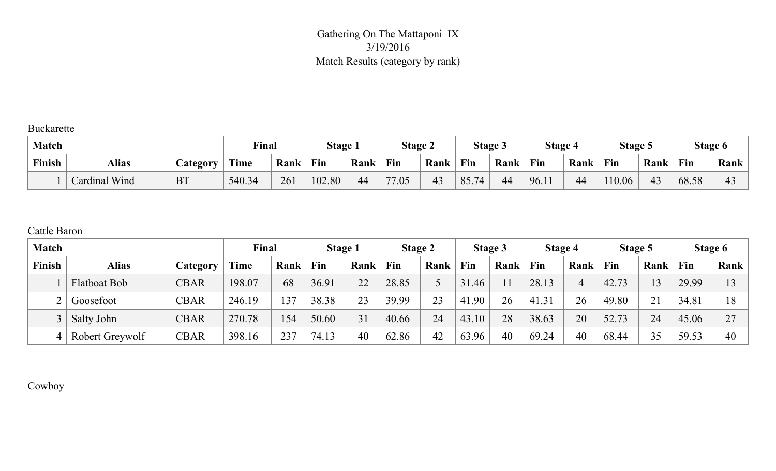#### Gathering On The Mattaponi IX 3/19/2016 Match Results (category by rank)

Buckarette

| <b>Match</b> |               |                        | Final  |      | <b>Stage 1</b> |      | <b>Stage 2</b> |      | <b>Stage 3</b> |      | <b>Stage 4</b>  |      | Stage 5 |      | Stage 6 |                |
|--------------|---------------|------------------------|--------|------|----------------|------|----------------|------|----------------|------|-----------------|------|---------|------|---------|----------------|
| Finish       | <b>Alias</b>  | <b><i>Category</i></b> | Time   | Rank | Fin            | Rank | Fin            | Rank | Fin            | Rank | $\mathbf{F}$ in | Rank | Fin     | Rank | Fin     | Rank           |
|              | Cardinal Wind | <b>BT</b>              | 540.34 | 261  | 102.80         | 44   | 77.05          | 43   | 85.74          | 44   | 96.11           | 44   | 110.06  | 43   | 68.58   | 4 <sup>2</sup> |

#### Cattle Baron

| <b>Match</b> |                     |             | Final       |      | Stage 1 |      | <b>Stage 2</b> |      |       | Stage 3 | <b>Stage 4</b> |      | Stage 5 |      |       | Stage 6 |
|--------------|---------------------|-------------|-------------|------|---------|------|----------------|------|-------|---------|----------------|------|---------|------|-------|---------|
| Finish       | <b>Alias</b>        | Category    | <b>Time</b> | Rank | Fin     | Rank | Fin            | Rank | Fin   | Rank    | Fin            | Rank | Fin     | Rank | Fin   | Rank    |
|              | <b>Flatboat Bob</b> | <b>CBAR</b> | 198.07      | 68   | 36.91   | 22   | 28.85          |      | 31.46 | 11      | 28.13          |      | 42.73   | 13   | 29.99 |         |
|              | Goosefoot           | <b>CBAR</b> | 246.19      | 37   | 38.38   | 23   | 39.99          | 23   | 41.90 | 26      | 41.31          | 26   | 49.80   | 21   | 34.81 | 18      |
|              | Salty John          | <b>CBAR</b> | 270.78      | .54  | 50.60   | 31   | 40.66          | 24   | 43.10 | 28      | 38.63          | 20   | 52.73   | 24   | 45.06 | 27      |
|              | Robert Greywolf     | <b>CBAR</b> | 398.16      | 237  | 74.13   | 40   | 62.86          | 42   | 63.96 | 40      | 69.24          | 40   | 68.44   | 35   | 59.53 | 40      |

Cowboy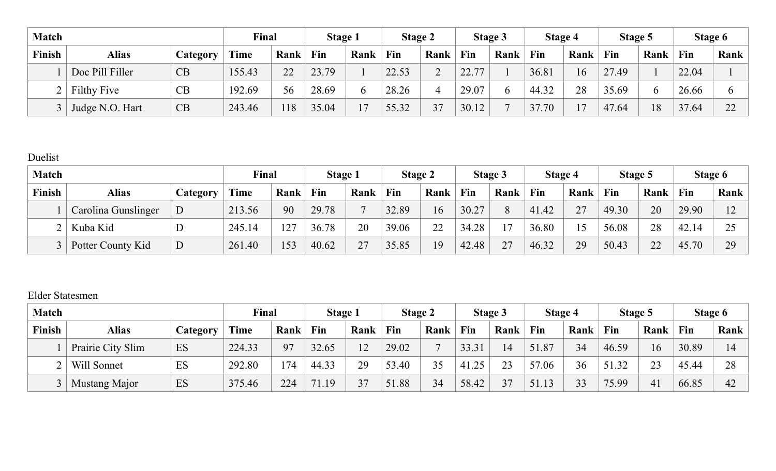| <b>Match</b> |                 |                 | Final       |      | <b>Stage 1</b> |      | <b>Stage 2</b> |      |       | <b>Stage 3</b> | Stage 4 |      | Stage 5 |          | Stage 6 |              |
|--------------|-----------------|-----------------|-------------|------|----------------|------|----------------|------|-------|----------------|---------|------|---------|----------|---------|--------------|
| Finish       | <b>Alias</b>    | <i>Category</i> | <b>Time</b> | Rank | Fin            | Rank | Fin            | Rank | Fin   | Rank           | Fin     | Rank | Fin     | Rank     | Fin     | Rank         |
|              | Doc Pill Filler | CB              | 155.43      | 22   | 23.79          |      | 22.53          |      | 22.77 |                | 36.81   | 16   | 27.49   |          | 22.04   |              |
|              | Filthy Five     | CB              | 192.69      | 56   | 28.69          |      | 28.26          |      | 29.07 | h              | 44.32   | 28   | 35.69   | $\sigma$ | 26.66   |              |
|              | Judge N.O. Hart | CB              | 243.46      | !18  | 35.04          | 17   | 55.32          | 37   | 30.12 |                | 37.70   |      | 47.64   | 18       | 37.64   | $\cap$<br>∠∠ |

# Duelist

| <b>Match</b> |                     |          | Final       |      | Stage 1 |      | <b>Stage 2</b> |      |       | <b>Stage 3</b> | <b>Stage 4</b> |      | Stage 5 |      |       | Stage 6     |
|--------------|---------------------|----------|-------------|------|---------|------|----------------|------|-------|----------------|----------------|------|---------|------|-------|-------------|
| Finish       | <b>Alias</b>        | Category | <b>Time</b> | Rank | Fin     | Rank | Fin            | Rank | Fin   | Rank           | Fin            | Rank | Fin     | Rank | Fin   | Rank        |
|              | Carolina Gunslinger | D        | 213.56      | 90   | 29.78   |      | 32.89          | 16   | 30.27 | 8              | 41.42          | 27   | 49.30   | 20   | 29.90 | $1^{\circ}$ |
|              | Kuba Kid            |          | 245.14      | 27   | 36.78   | 20   | 39.06          | 22   | 34.28 | $\overline{ }$ | 36.80          |      | 56.08   | 28   | 42.14 | $\bigcap$   |
|              | Potter County Kid   | D        | 261.40      | 153  | 40.62   | 27   | 35.85          | 19   | 42.48 | 27             | 46.32          | 29   | 50.43   | 22   | 45.70 | 29          |

#### Elder Statesmen

| <b>Match</b> |                      |          | Final  |      | <b>Stage 1</b> |      | <b>Stage 2</b> |                |       | <b>Stage 3</b> | Stage 4     |      | Stage 5 |      | Stage 6 |      |
|--------------|----------------------|----------|--------|------|----------------|------|----------------|----------------|-------|----------------|-------------|------|---------|------|---------|------|
| Finish       | <b>Alias</b>         | Category | Time   | Rank | Fin            | Rank | Fin            | Rank           | Fin   | Rank           | Fin         | Rank | Fin     | Rank | Fin     | Rank |
|              | Prairie City Slim    | ES       | 224.33 | 97   | 32.65          | 12   | 29.02          | $\overline{ }$ | 33.31 | 14             | 51.87       | 34   | 46.59   | 16   | 30.89   | 14   |
|              | Will Sonnet          | ES       | 292.80 | 74   | 44.33          | 29   | 53.40          | 35             | 41.25 | 23             | 57.06       | 36   | 51.32   | 23   | 45.44   | 28   |
|              | <b>Mustang Major</b> | ES       | 375.46 | 224  | 71.19          | 37   | 51.88          | 34             | 58.42 | 37             | 51.13<br>13 | 33   | 75.99   | 41   | 66.85   | 42   |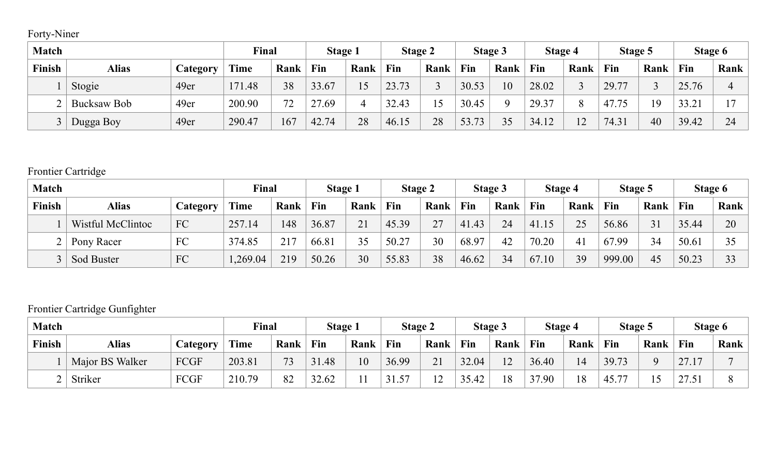# Forty-Niner

| <b>Match</b> |              |          | Final       |      | <b>Stage 1</b> |      | <b>Stage 2</b> |      |       | Stage 3 | <b>Stage 4</b> |      | Stage 5 |      | Stage 6 |                |
|--------------|--------------|----------|-------------|------|----------------|------|----------------|------|-------|---------|----------------|------|---------|------|---------|----------------|
| Finish       | <b>Alias</b> | Category | <b>Time</b> | Rank | Fin            | Rank | Fin            | Rank | Fin   | Rank    | Fin            | Rank | Fin     | Rank | Fin     | Rank           |
|              | Stogie       | 49er     | 171.48      | 38   | 33.67          | 15   | 23.73          |      | 30.53 | 10      | 28.02          |      | 29.77   |      | 25.76   |                |
|              | Bucksaw Bob  | 49er     | 200.90      | 72   | 27.69          |      | 32.43          |      | 30.45 |         | 29.37          |      | 47.75   | 19   | 33.21   | $\overline{ }$ |
|              | Dugga Boy    | 49er     | 290.47      | 167  | 42.74          | 28   | 46.15          | 28   | 53.73 | 35      | 34.12          |      | 74.31   | 40   | 39.42   | 24             |

# Frontier Cartridge

| <b>Match</b> |                   |          | Final   |      | <b>Stage 1</b> |      | <b>Stage 2</b> |      |       | <b>Stage 3</b> | <b>Stage 4</b> |      | Stage 5 |      |       | Stage 6 |
|--------------|-------------------|----------|---------|------|----------------|------|----------------|------|-------|----------------|----------------|------|---------|------|-------|---------|
| Finish       | <b>Alias</b>      | Category | Time    | Rank | Fin            | Rank | Fin            | Rank | Fin   | Rank           | Fin            | Rank | Fin     | Rank | Fin   | Rank    |
|              | Wistful McClintoc | FC       | 257.14  | 148  | 36.87          | 21   | 45.39          | 27   | 41.43 | 24             | 41.15          | 25   | 56.86   | 31   | 35.44 | 20      |
|              | Pony Racer        | FC       | 374.85  | 217  | 66.81          | 35   | 50.27          | 30   | 68.97 | 42             | 70.20          | 41   | 67.99   | 34   | 50.6  |         |
|              | <b>Sod Buster</b> | FC       | ,269.04 | 219  | 50.26          | 30   | 55.83          | 38   | 46.62 | 34             | 67.10          | 39   | 999.00  | 45   | 50.23 | 33      |

# Frontier Cartridge Gunfighter

| <b>Match</b> |                 |          | Final  |      | <b>Stage 1</b> |      | <b>Stage 2</b> |              |       | <b>Stage 3</b> |       | Stage 4 | <b>Stage 5</b> |      |                 | Stage 6 |
|--------------|-----------------|----------|--------|------|----------------|------|----------------|--------------|-------|----------------|-------|---------|----------------|------|-----------------|---------|
| Finish       | <b>Alias</b>    | Category | Time   | Rank | Fin            | Rank | Fin            | Rank         | Fin   | Rank           | Fin   | Rank    | Fin            | Rank | Fin             | Rank    |
|              | Major BS Walker | FCGF     | 203.81 | 73   | 31.48          | 10   | 36.99          | 21           | 32.04 | 12             | 36.40 | 14      | 39.73          |      | 27 <sub>1</sub> |         |
|              | Striker         | FCGF     | 210.79 | 82   | 32.62          |      | 57<br>31.5     | $\sim$<br>▴∠ | 35.42 | 18             | 37.90 | 18      | 45.77          |      | <u> 41.Jr</u>   |         |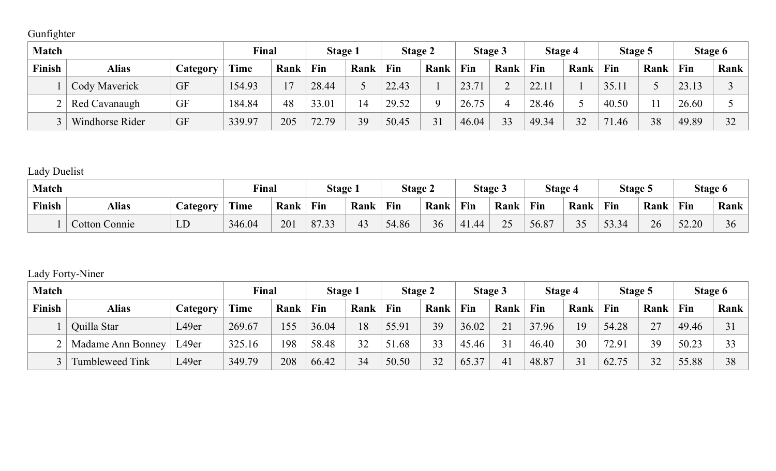# Gunfighter

| <b>Match</b> |                      |                 | Final       |      | <b>Stage 1</b> |      | <b>Stage 2</b> |      |       | Stage 3 | Stage 4 |      | Stage 5 |      | Stage 6 |      |
|--------------|----------------------|-----------------|-------------|------|----------------|------|----------------|------|-------|---------|---------|------|---------|------|---------|------|
| Finish       | <b>Alias</b>         | <i>Category</i> | <b>Time</b> | Rank | Fin            | Rank | Fin            | Rank | Fin   | Rank    | Fin     | Rank | Fin     | Rank | Fin     | Rank |
|              | <b>Cody Maverick</b> | GF              | 154.93      |      | 28.44          |      | 22.43          |      | 23.71 |         | 22.11   |      | 35.11   |      | 23.13   |      |
|              | Red Cavanaugh        | GF              | 184.84      | 48   | 33.01          |      | 29.52          |      | 26.75 |         | 28.46   |      | 40.50   |      | 26.60   |      |
|              | Windhorse Rider      | GF              | 339.97      | 205  | 72.79          | 39   | 50.45          | 31   | 46.04 | 33      | 49.34   | 32   | 71.46   | 38   | 49.89   | 32   |

# Lady Duelist

| <b>Match</b> |                      |                  | Final      |      | <b>Stage 1</b>         |                | <b>Stage 2</b> |      |       | <b>Stage 3</b>     | <b>Stage 4</b>       |            | Stage 5                                |      |       | <b>Stage 6</b> |
|--------------|----------------------|------------------|------------|------|------------------------|----------------|----------------|------|-------|--------------------|----------------------|------------|----------------------------------------|------|-------|----------------|
| Finish       | <b>Alias</b>         | <i>L</i> ategory | T<br>l'ime | Rank | Fin                    | Rank           | Fin            | Rank | Fin   | Rank               | Fin                  | Rank       | Fin                                    | Rank | Fin   | Rank           |
|              | <b>Cotton Connie</b> | LD               | 346.04     | 201  | 0722<br>$\delta$ / .33 | 4 <sup>2</sup> | 54.86          | 36   | 41.44 | $\mathcal{L}$<br>⊷ | $\sqrt{07}$<br>56.8' | າ ເ<br>ں ر | 52.24<br>$\Delta$<br>JJ.J <sup>.</sup> | 26   | 52.20 | 30             |

#### Lady Forty-Niner

| <b>Match</b> |                          |          | Final  |      | Stage 1 |      | <b>Stage 2</b> |      |       | <b>Stage 3</b> | Stage 4 |      | Stage 5 |      | Stage 6 |      |
|--------------|--------------------------|----------|--------|------|---------|------|----------------|------|-------|----------------|---------|------|---------|------|---------|------|
| Finish       | <b>Alias</b>             | Category | Time   | Rank | Fin     | Rank | Fin            | Rank | Fin   | Rank           | Fin     | Rank | Fin     | Rank | Fin     | Rank |
|              | Quilla Star              | L49er    | 269.67 | .55  | 36.04   | 18   | 55.91          | 39   | 36.02 | 21             | 37.96   | 19   | 54.28   | 27   | 49.46   | 31   |
|              | <b>Madame Ann Bonney</b> | L49er    | 325.16 | 198  | 58.48   | 32   | 51.68          | 33   | 45.46 | 31             | 46.40   | 30   | 72.91   | 39   | 50.23   | 33   |
|              | <b>Tumbleweed Tink</b>   | L49er    | 349.79 | 208  | 66.42   | 34   | 50.50          | 32   | 65.37 | 41             | 48.87   | 31   | 62.75   | 32   | 55.88   | 38   |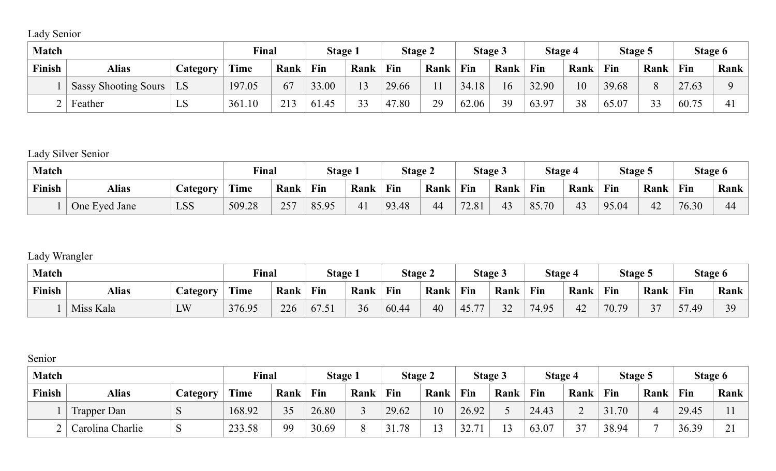# Lady Senior

| <b>Match</b> |                             |                        | Final  |      | <b>Stage 1</b> |                  | <b>Stage 2</b> |      |       | <b>Stage 3</b> | Stage 4 |      | <b>Stage 5</b> |                     | Stage 6 |      |
|--------------|-----------------------------|------------------------|--------|------|----------------|------------------|----------------|------|-------|----------------|---------|------|----------------|---------------------|---------|------|
| Finish       | <b>Alias</b>                | <i><b>Lategory</b></i> | Time   | Rank | Fin            | Rank             | Fin            | Rank | Fin   | Rank           | Fin     | Rank | Fin            | Rank                | Fin     | Rank |
|              | <b>Sassy Shooting Sours</b> | LS                     | 197.05 | 67   | 33.00          | 13               | 29.66          |      | 34.18 | 16             | 32.90   | 10   | 39.68          | $\Omega$            | 27.63   |      |
|              | Feather                     | LS                     | 361.10 | 213  | 61.45          | $\bigcap$<br>≺ ≺ | 47.80          | 29   | 62.06 | 39             | 63.97   | 38   | 65.07          | $\mathcal{L}$<br>33 | 60.75   | 41   |

#### Lady Silver Senior

| <b>Match</b> |               |                  | Final  |      | <b>Stage</b> |      | <b>Stage 2</b> |      | <b>Stage 3</b> |      | <b>Stage 4</b> |      | <b>Stage 5</b> |      | <b>Stage 6</b> |      |
|--------------|---------------|------------------|--------|------|--------------|------|----------------|------|----------------|------|----------------|------|----------------|------|----------------|------|
| Finish       | <b>Alias</b>  | <i>C</i> ategory | Time   | Rank | Fin          | Rank | Fin            | Rank | Fin            | Rank | Fin            | Rank | Fin            | Rank | Fin            | Rank |
|              | One Eyed Jane | LSS              | 509.28 | 257  | 85.95        | 41   | 93.48          | 44   | 72.81          | ≄ ∸  | 85.<br>.70     | 43   | 95.04          | 42   | 76.30          | 44   |

# Lady Wrangler

| <b>Match</b> |              |                        | Final  |      | Stage <sub>1</sub>              |      | <b>Stage 2</b> |      | Stage 3 |                  | <b>Stage 4</b> |                 | <b>Stage 5</b> |        | Stage 6                      |      |
|--------------|--------------|------------------------|--------|------|---------------------------------|------|----------------|------|---------|------------------|----------------|-----------------|----------------|--------|------------------------------|------|
| Finish       | <b>Alias</b> | <i><b>Lategory</b></i> | Time   | Rank | Fin                             | Rank | Fin            | Rank | Fin     | Rank             | Fin            | Rank            | Fin            | Rank   | Fin                          | Rank |
|              | Miss Kala    | LW                     | 376.95 | 226  | $\sqrt{7}$ $\sqrt{1}$<br>0/0.51 | 36   | 60.44          | 40   | 45.77   | $\bigcap$<br>ے ر | 74.95          | $\Lambda$<br>42 | 70.79          | $\sim$ | $\sqrt{2}$<br>$\Delta\Omega$ | 30   |

#### Senior

| <b>Match</b> |                    |          | <b>Final</b> |           | <b>Stage 1</b> |      | <b>Stage 2</b> |      | <b>Stage 3</b>        |      | <b>Stage 4</b> |                | Stage 5 |      | Stage 6 |                           |
|--------------|--------------------|----------|--------------|-----------|----------------|------|----------------|------|-----------------------|------|----------------|----------------|---------|------|---------|---------------------------|
| Finish       | <b>Alias</b>       | Category | Time         | Rank      | Fin            | Rank | Fin            | Rank | Fin                   | Rank | Fin            | Rank           | Fin     | Rank | Fin     | Rank                      |
|              | <b>Trapper Dan</b> |          | 168.92       | 25<br>ں ر | 26.80          |      | 29.62          | 10   | 26.92                 |      | 24.43          | ∠              | 31.70   |      | 29.45   |                           |
|              | Carolina Charlie   |          | 233.58       | 99        | 30.69          |      | 31.78          |      | 32.<br>$\overline{ }$ |      | 63.07          | n <del>n</del> | 38.94   |      | 36.39   | $\bigcap$ 1<br><u>، ب</u> |